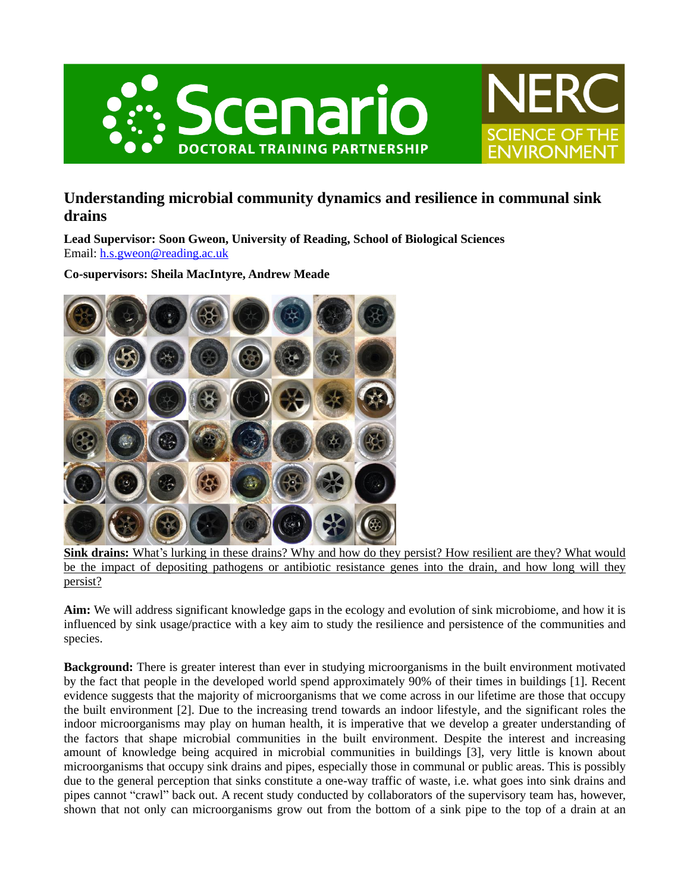



# **Understanding microbial community dynamics and resilience in communal sink drains**

**Lead Supervisor: Soon Gweon, University of Reading, School of Biological Sciences** Email: [h.s.gweon@reading.ac.uk](mailto:h.s.gweon@reading.ac.uk)

**Co-supervisors: Sheila MacIntyre, Andrew Meade**



**Sink drains:** What's lurking in these drains? Why and how do they persist? How resilient are they? What would be the impact of depositing pathogens or antibiotic resistance genes into the drain, and how long will they persist?

**Aim:** We will address significant knowledge gaps in the ecology and evolution of sink microbiome, and how it is influenced by sink usage/practice with a key aim to study the resilience and persistence of the communities and species.

**Background:** There is greater interest than ever in studying microorganisms in the built environment motivated by the fact that people in the developed world spend approximately 90% of their times in buildings [1]. Recent evidence suggests that the majority of microorganisms that we come across in our lifetime are those that occupy the built environment [2]. Due to the increasing trend towards an indoor lifestyle, and the significant roles the indoor microorganisms may play on human health, it is imperative that we develop a greater understanding of the factors that shape microbial communities in the built environment. Despite the interest and increasing amount of knowledge being acquired in microbial communities in buildings [3], very little is known about microorganisms that occupy sink drains and pipes, especially those in communal or public areas. This is possibly due to the general perception that sinks constitute a one-way traffic of waste, i.e. what goes into sink drains and pipes cannot "crawl" back out. A recent study conducted by collaborators of the supervisory team has, however, shown that not only can microorganisms grow out from the bottom of a sink pipe to the top of a drain at an